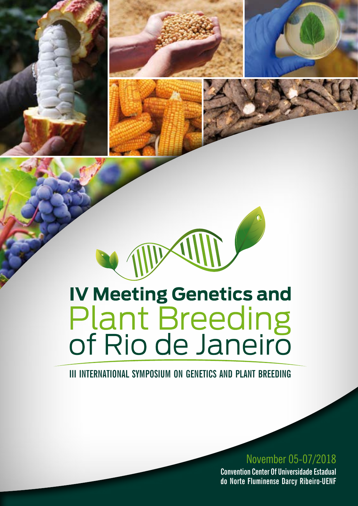

W

**III INTERNATIONAL SYMPOSIUM ON GENETICS AND PLANT BREEDING**

## November 05-07/2018

**Convention Center Of Universidade Estadual do Norte Fluminense Darcy Ribeiro-UENF**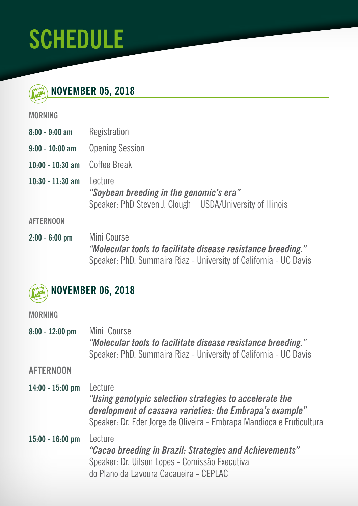# **SCHEDULE**

| <b>MOVEMBER 05, 2018</b> |  |
|--------------------------|--|
|                          |  |

#### **MORNING**

| $8:00 - 9:00$ am   | Registration                                                                                                       |
|--------------------|--------------------------------------------------------------------------------------------------------------------|
| $9:00 - 10:00$ am  | <b>Opening Session</b>                                                                                             |
| 10:00 - 10:30 am   | Coffee Break                                                                                                       |
| $10:30 - 11:30$ am | I ecture<br>"Soybean breeding in the genomic's era"<br>Speaker: PhD Steven J. Clough - USDA/University of Illinois |
| AFTERNOON          |                                                                                                                    |

**2:00 - 6:00 pm** Mini Course *"Molecular tools to facilitate disease resistance breeding."*  Speaker: PhD. Summaira Riaz - University of California - UC Davis

# **NOVEMBER 06, 2018**

### **MORNING**

| $8:00 - 12:00$ pm  | Mini Course<br>"Molecular tools to facilitate disease resistance breeding."<br>Speaker: PhD. Summaira Riaz - University of California - UC Davis                                                        |
|--------------------|---------------------------------------------------------------------------------------------------------------------------------------------------------------------------------------------------------|
| <b>AFTERNOON</b>   |                                                                                                                                                                                                         |
| $14:00 - 15:00$ pm | Lecture<br>"Using genotypic selection strategies to accelerate the<br>development of cassava varieties: the Embrapa's example"<br>Speaker: Dr. Eder Jorge de Oliveira - Embrapa Mandioca e Fruticultura |
| $15:00 - 16:00$ pm | Lecture<br>"Cacao breeding in Brazil: Strategies and Achievements"<br>Speaker: Dr. Uilson Lopes - Comissão Executiva<br>do Plano da Lavoura Cacaueira - CEPLAC                                          |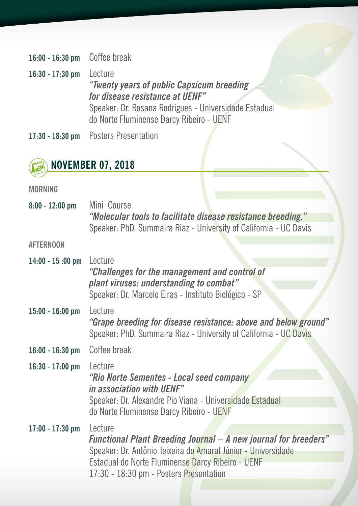**16:00 - 16:30 pm** Coffee break

**16:30 - 17:30 pm** Lecture *"Twenty years of public Capsicum breeding for disease resistance at UENF"* Speaker: Dr. Rosana Rodrigues - Universidade Estadual do Norte Fluminense Darcy Ribeiro - UENF

**17:30 - 18:30 pm** Posters Presentation



**MORNING**

| $8:00 - 12:00$ pm  | Mini Course<br>"Molecular tools to facilitate disease resistance breeding."<br>Speaker: PhD. Summaira Riaz - University of California - UC Davis                                                                                                   |
|--------------------|----------------------------------------------------------------------------------------------------------------------------------------------------------------------------------------------------------------------------------------------------|
| <b>AFTERNOON</b>   |                                                                                                                                                                                                                                                    |
| $14:00 - 15:00$ pm | Lecture<br>"Challenges for the management and control of<br>plant viruses: understanding to combat"<br>Speaker: Dr. Marcelo Eiras - Instituto Biológico - SP                                                                                       |
| $15:00 - 16:00$ pm | Lecture<br>"Grape breeding for disease resistance: above and below ground"<br>Speaker: PhD. Summaira Riaz - University of California - UC Davis                                                                                                    |
| $16:00 - 16:30$ pm | Coffee break                                                                                                                                                                                                                                       |
| $16:30 - 17:00$ pm | Lecture<br>"Rio Norte Sementes - Local seed company"<br>in association with UENF"<br>Speaker: Dr. Alexandre Pio Viana - Universidade Estadual<br>do Norte Fluminense Darcy Ribeiro - UENF                                                          |
| 17:00 - 17:30 pm   | Lecture<br><b>Functional Plant Breeding Journal - A new journal for breeders"</b><br>Speaker: Dr. Antônio Teixeira do Amaral Júnior - Universidade<br>Estadual do Norte Fluminense Darcy Ribeiro - UENF<br>17:30 - 18:30 pm - Posters Presentation |
|                    |                                                                                                                                                                                                                                                    |